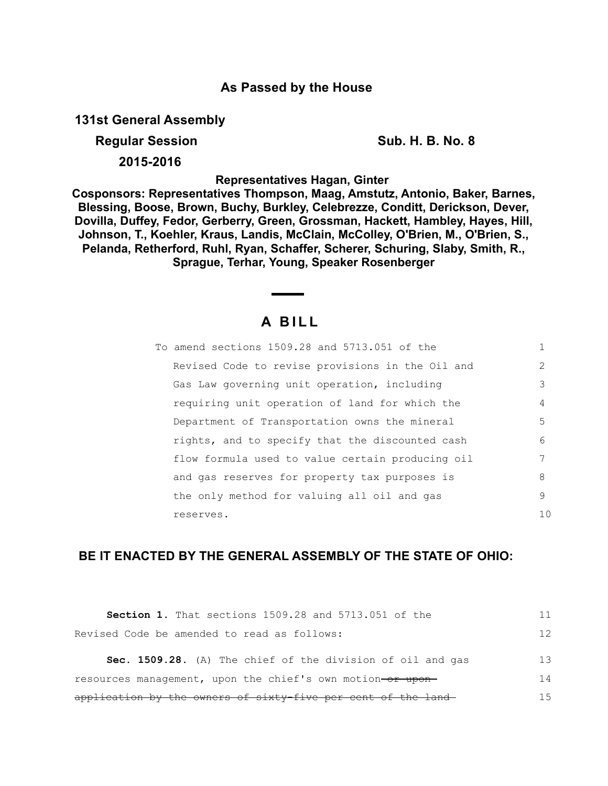## **As Passed by the House**

**131st General Assembly**

**Regular Session Sub. H. B. No. 8** 

**2015-2016**

**Representatives Hagan, Ginter** 

**Cosponsors: Representatives Thompson, Maag, Amstutz, Antonio, Baker, Barnes, Blessing, Boose, Brown, Buchy, Burkley, Celebrezze, Conditt, Derickson, Dever, Dovilla, Duffey, Fedor, Gerberry, Green, Grossman, Hackett, Hambley, Hayes, Hill, Johnson, T., Koehler, Kraus, Landis, McClain, McColley, O'Brien, M., O'Brien, S., Pelanda, Retherford, Ruhl, Ryan, Schaffer, Scherer, Schuring, Slaby, Smith, R., Sprague, Terhar, Young, Speaker Rosenberger**

## **A B I L L**

| To amend sections 1509.28 and 5713.051 of the    |               |
|--------------------------------------------------|---------------|
| Revised Code to revise provisions in the Oil and | $\mathcal{L}$ |
| Gas Law governing unit operation, including      | 3             |
| requiring unit operation of land for which the   | 4             |
| Department of Transportation owns the mineral    | 5             |
| rights, and to specify that the discounted cash  | 6             |
| flow formula used to value certain producing oil | 7             |
| and gas reserves for property tax purposes is    | 8             |
| the only method for valuing all oil and gas      | 9             |
| reserves.                                        | 10            |

## **BE IT ENACTED BY THE GENERAL ASSEMBLY OF THE STATE OF OHIO:**

| <b>Section 1.</b> That sections 1509.28 and 5713.051 of the   | 11 |
|---------------------------------------------------------------|----|
| Revised Code be amended to read as follows:                   | 12 |
| Sec. 1509.28. (A) The chief of the division of oil and gas    | 13 |
| resources management, upon the chief's own motion-or upon-    | 14 |
| application by the owners of sixty-five per cent of the land- | 15 |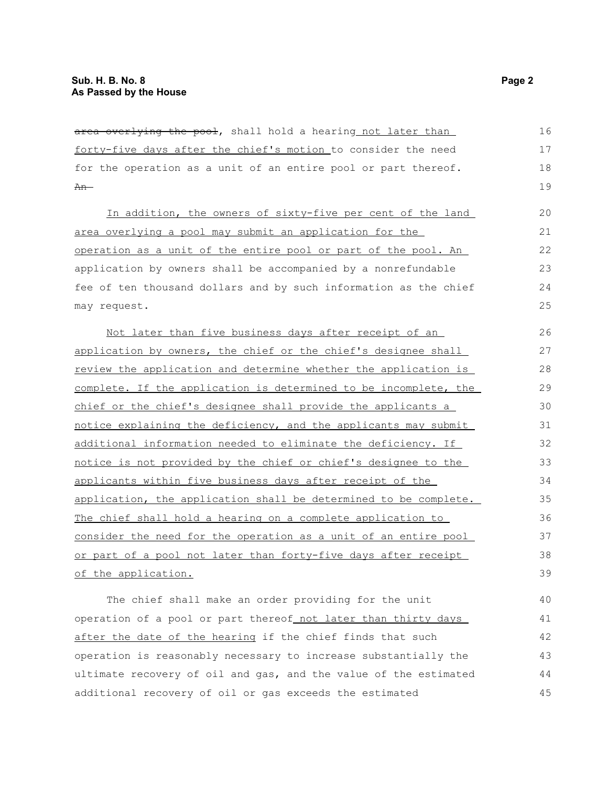| area overlying the pool, shall hold a hearing not later than     | 16 |
|------------------------------------------------------------------|----|
| forty-five days after the chief's motion to consider the need    | 17 |
| for the operation as a unit of an entire pool or part thereof.   | 18 |
| An-                                                              | 19 |
| In addition, the owners of sixty-five per cent of the land       | 20 |
| area overlying a pool may submit an application for the          | 21 |
| operation as a unit of the entire pool or part of the pool. An   | 22 |
| application by owners shall be accompanied by a nonrefundable    | 23 |
| fee of ten thousand dollars and by such information as the chief | 24 |
| may request.                                                     | 25 |
| Not later than five business days after receipt of an            | 26 |
| application by owners, the chief or the chief's designee shall   | 27 |
| review the application and determine whether the application is  | 28 |
| complete. If the application is determined to be incomplete, the | 29 |
| chief or the chief's designee shall provide the applicants a     | 30 |
| notice explaining the deficiency, and the applicants may submit  | 31 |
| additional information needed to eliminate the deficiency. If    | 32 |
| notice is not provided by the chief or chief's designee to the   | 33 |
| applicants within five business days after receipt of the        | 34 |
| application, the application shall be determined to be complete. | 35 |
| The chief shall hold a hearing on a complete application to      | 36 |
| consider the need for the operation as a unit of an entire pool  | 37 |
| or part of a pool not later than forty-five days after receipt   | 38 |
| of the application.                                              | 39 |
| The chief shall make an order providing for the unit             | 40 |
| operation of a pool or part thereof not later than thirty days   | 41 |
| after the date of the hearing if the chief finds that such       | 42 |
|                                                                  |    |

operation is reasonably necessary to increase substantially the ultimate recovery of oil and gas, and the value of the estimated additional recovery of oil or gas exceeds the estimated 43 44 45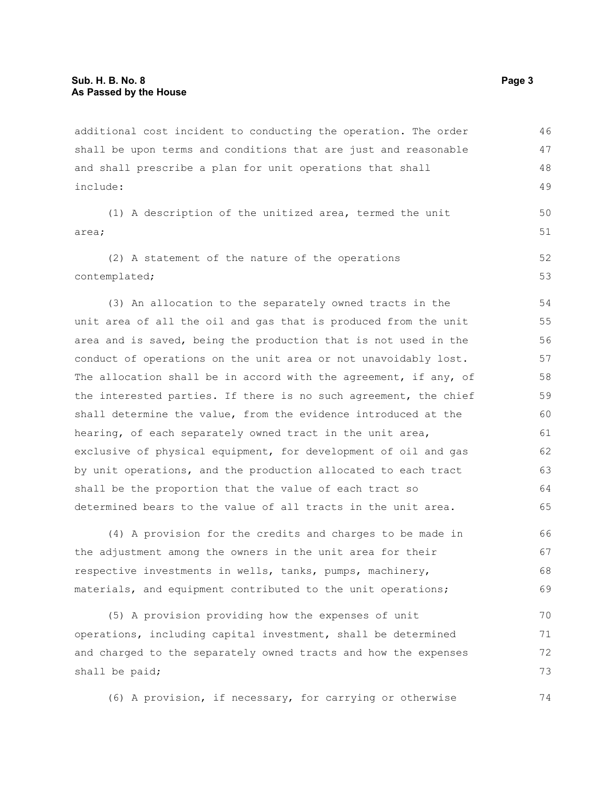additional cost incident to conducting the operation. The order shall be upon terms and conditions that are just and reasonable and shall prescribe a plan for unit operations that shall include: 46 47 48 49

(1) A description of the unitized area, termed the unit area;

(2) A statement of the nature of the operations contemplated; 52 53

(3) An allocation to the separately owned tracts in the unit area of all the oil and gas that is produced from the unit area and is saved, being the production that is not used in the conduct of operations on the unit area or not unavoidably lost. The allocation shall be in accord with the agreement, if any, of the interested parties. If there is no such agreement, the chief shall determine the value, from the evidence introduced at the hearing, of each separately owned tract in the unit area, exclusive of physical equipment, for development of oil and gas by unit operations, and the production allocated to each tract shall be the proportion that the value of each tract so determined bears to the value of all tracts in the unit area. 54 55 56 57 58 59 60 61 62 63 64 65

(4) A provision for the credits and charges to be made in the adjustment among the owners in the unit area for their respective investments in wells, tanks, pumps, machinery, materials, and equipment contributed to the unit operations; 66 67 68 69

(5) A provision providing how the expenses of unit operations, including capital investment, shall be determined and charged to the separately owned tracts and how the expenses shall be paid; 70 71 72 73

(6) A provision, if necessary, for carrying or otherwise

50 51

74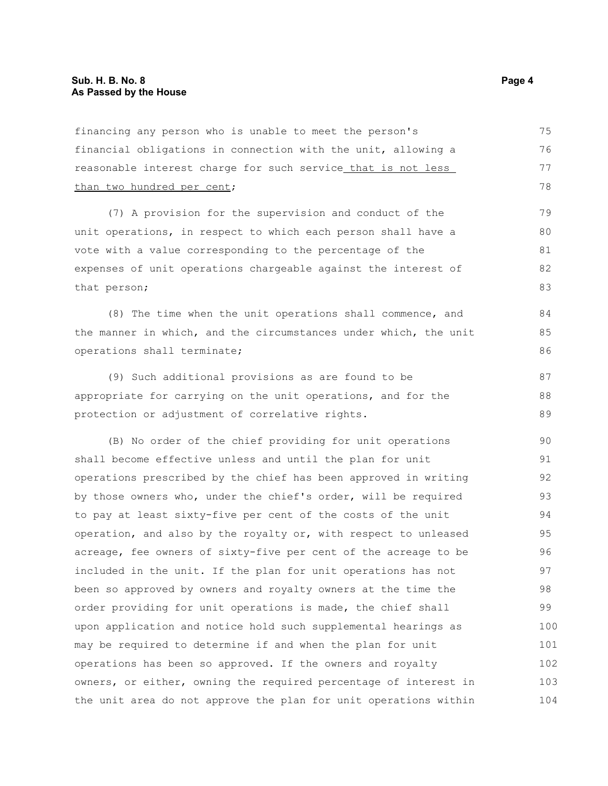financial obligations in connection with the unit, allowing a reasonable interest charge for such service\_that is not less than two hundred per cent; (7) A provision for the supervision and conduct of the unit operations, in respect to which each person shall have a vote with a value corresponding to the percentage of the expenses of unit operations chargeable against the interest of that person; (8) The time when the unit operations shall commence, and the manner in which, and the circumstances under which, the unit operations shall terminate; (9) Such additional provisions as are found to be appropriate for carrying on the unit operations, and for the protection or adjustment of correlative rights. (B) No order of the chief providing for unit operations shall become effective unless and until the plan for unit operations prescribed by the chief has been approved in writing by those owners who, under the chief's order, will be required to pay at least sixty-five per cent of the costs of the unit operation, and also by the royalty or, with respect to unleased acreage, fee owners of sixty-five per cent of the acreage to be included in the unit. If the plan for unit operations has not been so approved by owners and royalty owners at the time the order providing for unit operations is made, the chief shall upon application and notice hold such supplemental hearings as may be required to determine if and when the plan for unit operations has been so approved. If the owners and royalty owners, or either, owning the required percentage of interest in the unit area do not approve the plan for unit operations within 76 77 78 79 80 81 82 83 84 85 86 87 88 89 90 91 92 93 94 95 96 97 98 99 100 101 102 103 104

financing any person who is unable to meet the person's

75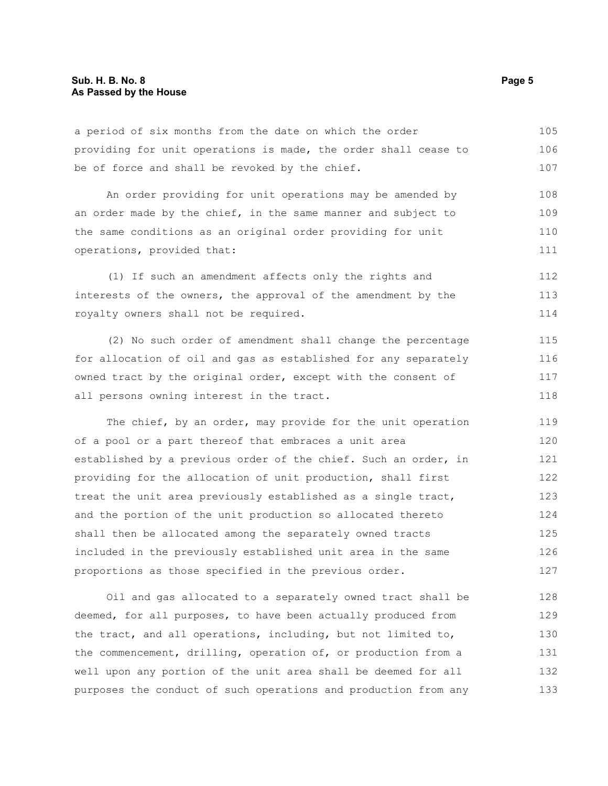a period of six months from the date on which the order providing for unit operations is made, the order shall cease to be of force and shall be revoked by the chief. 105 106 107

An order providing for unit operations may be amended by an order made by the chief, in the same manner and subject to the same conditions as an original order providing for unit operations, provided that: 108 109 110 111

(1) If such an amendment affects only the rights and interests of the owners, the approval of the amendment by the royalty owners shall not be required. 112 113 114

(2) No such order of amendment shall change the percentage for allocation of oil and gas as established for any separately owned tract by the original order, except with the consent of all persons owning interest in the tract. 115 116 117 118

The chief, by an order, may provide for the unit operation of a pool or a part thereof that embraces a unit area established by a previous order of the chief. Such an order, in providing for the allocation of unit production, shall first treat the unit area previously established as a single tract, and the portion of the unit production so allocated thereto shall then be allocated among the separately owned tracts included in the previously established unit area in the same proportions as those specified in the previous order. 119 120 121 122 123 124 125 126 127

Oil and gas allocated to a separately owned tract shall be deemed, for all purposes, to have been actually produced from the tract, and all operations, including, but not limited to, the commencement, drilling, operation of, or production from a well upon any portion of the unit area shall be deemed for all purposes the conduct of such operations and production from any 128 129 130 131 132 133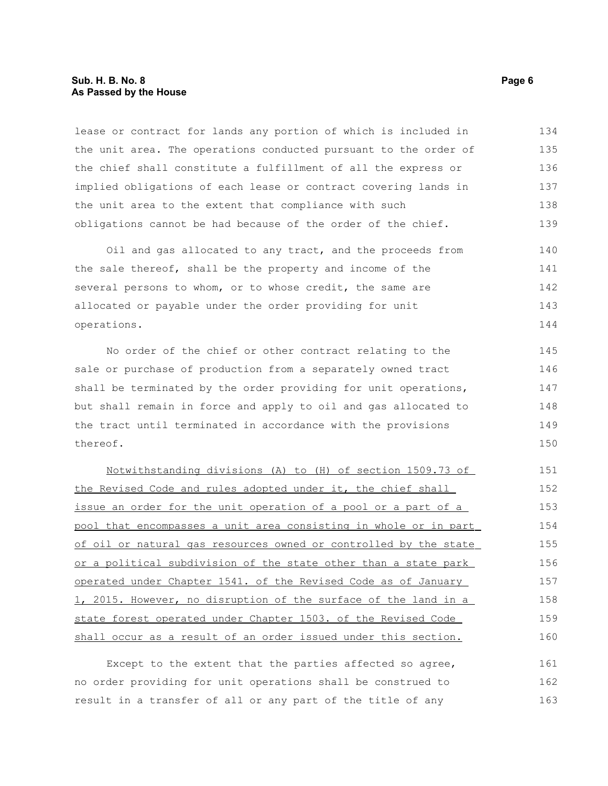## **Sub. H. B. No. 8 Page 6 As Passed by the House**

lease or contract for lands any portion of which is included in the unit area. The operations conducted pursuant to the order of the chief shall constitute a fulfillment of all the express or implied obligations of each lease or contract covering lands in the unit area to the extent that compliance with such obligations cannot be had because of the order of the chief. 134 135 136 137 138 139

Oil and gas allocated to any tract, and the proceeds from the sale thereof, shall be the property and income of the several persons to whom, or to whose credit, the same are allocated or payable under the order providing for unit operations. 140 141 142 143 144

No order of the chief or other contract relating to the sale or purchase of production from a separately owned tract shall be terminated by the order providing for unit operations, but shall remain in force and apply to oil and gas allocated to the tract until terminated in accordance with the provisions thereof. 145 146 147 148 149 150

Notwithstanding divisions (A) to (H) of section 1509.73 of the Revised Code and rules adopted under it, the chief shall issue an order for the unit operation of a pool or a part of a pool that encompasses a unit area consisting in whole or in part of oil or natural gas resources owned or controlled by the state or a political subdivision of the state other than a state park operated under Chapter 1541. of the Revised Code as of January 1, 2015. However, no disruption of the surface of the land in a state forest operated under Chapter 1503. of the Revised Code shall occur as a result of an order issued under this section. 151 152 153 154 155 156 157 158 159 160

Except to the extent that the parties affected so agree, no order providing for unit operations shall be construed to result in a transfer of all or any part of the title of any 161 162 163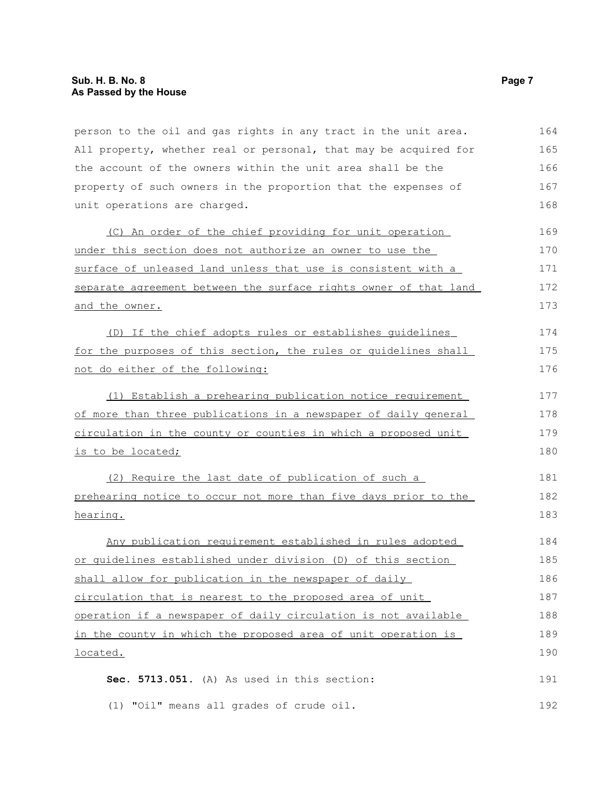| person to the oil and gas rights in any tract in the unit area.  | 164 |
|------------------------------------------------------------------|-----|
| All property, whether real or personal, that may be acquired for | 165 |
| the account of the owners within the unit area shall be the      | 166 |
| property of such owners in the proportion that the expenses of   | 167 |
| unit operations are charged.                                     | 168 |
| (C) An order of the chief providing for unit operation           | 169 |
| under this section does not authorize an owner to use the        | 170 |
| surface of unleased land unless that use is consistent with a    | 171 |
| separate agreement between the surface rights owner of that land | 172 |
| and the owner.                                                   | 173 |
| (D) If the chief adopts rules or establishes quidelines          | 174 |
| for the purposes of this section, the rules or quidelines shall  | 175 |
| not do either of the following:                                  | 176 |
| (1) Establish a prehearing publication notice requirement        | 177 |
| of more than three publications in a newspaper of daily general  | 178 |
| circulation in the county or counties in which a proposed unit   | 179 |
| is to be located;                                                | 180 |
| (2) Require the last date of publication of such a               | 181 |
| prehearing notice to occur not more than five days prior to the  | 182 |
| hearing.                                                         | 183 |
| Any publication requirement established in rules adopted         | 184 |
| or quidelines established under division (D) of this section     | 185 |
| shall allow for publication in the newspaper of daily            | 186 |
| circulation that is nearest to the proposed area of unit         | 187 |
| operation if a newspaper of daily circulation is not available   | 188 |
| in the county in which the proposed area of unit operation is    | 189 |
| located.                                                         | 190 |
| Sec. 5713.051. (A) As used in this section:                      | 191 |
| "Oil" means all grades of crude oil.<br>(1)                      | 192 |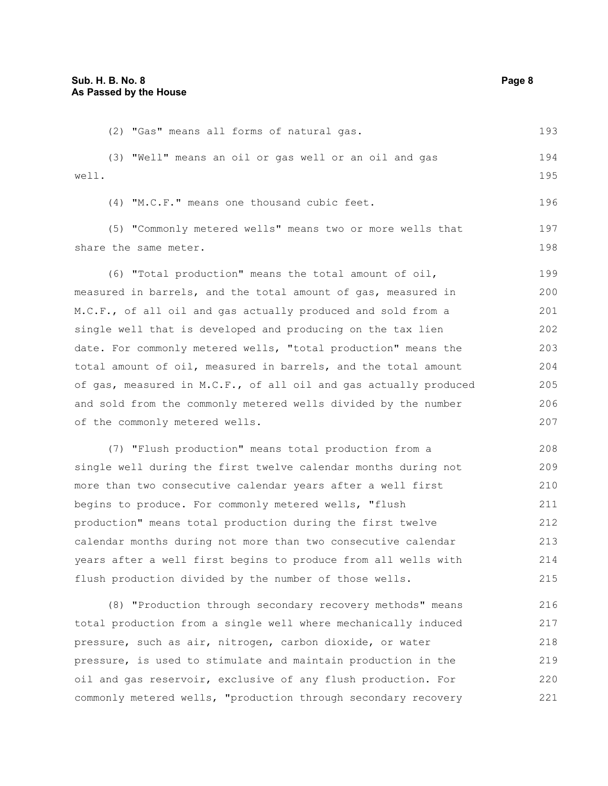| (2) "Gas" means all forms of natural gas.                        | 193 |
|------------------------------------------------------------------|-----|
| (3) "Well" means an oil or gas well or an oil and gas            | 194 |
| well.                                                            | 195 |
| (4) "M.C.F." means one thousand cubic feet.                      | 196 |
| (5) "Commonly metered wells" means two or more wells that        | 197 |
| share the same meter.                                            | 198 |
| (6) "Total production" means the total amount of oil,            | 199 |
| measured in barrels, and the total amount of gas, measured in    | 200 |
| M.C.F., of all oil and gas actually produced and sold from a     | 201 |
| single well that is developed and producing on the tax lien      | 202 |
| date. For commonly metered wells, "total production" means the   | 203 |
| total amount of oil, measured in barrels, and the total amount   | 204 |
| of gas, measured in M.C.F., of all oil and gas actually produced | 205 |
| and sold from the commonly metered wells divided by the number   | 206 |
| of the commonly metered wells.                                   | 207 |
| (7) "Flush production" means total production from a             | 208 |
| single well during the first twelve calendar months during not   | 209 |
| more than two consecutive calendar years after a well first      | 210 |
| begins to produce. For commonly metered wells, "flush            | 211 |
| production" means total production during the first twelve       | 212 |
| calendar months during not more than two consecutive calendar    | 213 |
| years after a well first begins to produce from all wells with   | 214 |
| flush production divided by the number of those wells.           | 215 |
| (8) "Production through secondary recovery methods" means        | 216 |
| total production from a single well where mechanically induced   | 217 |
| pressure, such as air, nitrogen, carbon dioxide, or water        | 218 |
| pressure, is used to stimulate and maintain production in the    | 219 |
| oil and gas reservoir, exclusive of any flush production. For    | 220 |

commonly metered wells, "production through secondary recovery

220 221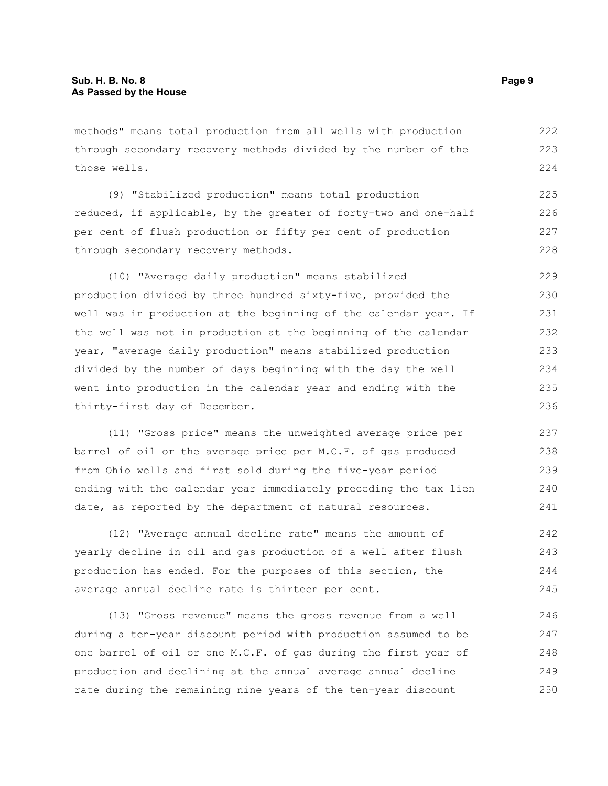methods" means total production from all wells with production through secondary recovery methods divided by the number of thethose wells. 222 223 224

(9) "Stabilized production" means total production reduced, if applicable, by the greater of forty-two and one-half per cent of flush production or fifty per cent of production through secondary recovery methods. 225 226 227 228

(10) "Average daily production" means stabilized production divided by three hundred sixty-five, provided the well was in production at the beginning of the calendar year. If the well was not in production at the beginning of the calendar year, "average daily production" means stabilized production divided by the number of days beginning with the day the well went into production in the calendar year and ending with the thirty-first day of December. 229 230 231 232 233 234 235 236

(11) "Gross price" means the unweighted average price per barrel of oil or the average price per M.C.F. of gas produced from Ohio wells and first sold during the five-year period ending with the calendar year immediately preceding the tax lien date, as reported by the department of natural resources. 237 238 239 240 241

(12) "Average annual decline rate" means the amount of yearly decline in oil and gas production of a well after flush production has ended. For the purposes of this section, the average annual decline rate is thirteen per cent. 242 243 244 245

(13) "Gross revenue" means the gross revenue from a well during a ten-year discount period with production assumed to be one barrel of oil or one M.C.F. of gas during the first year of production and declining at the annual average annual decline rate during the remaining nine years of the ten-year discount 246 247 248 249 250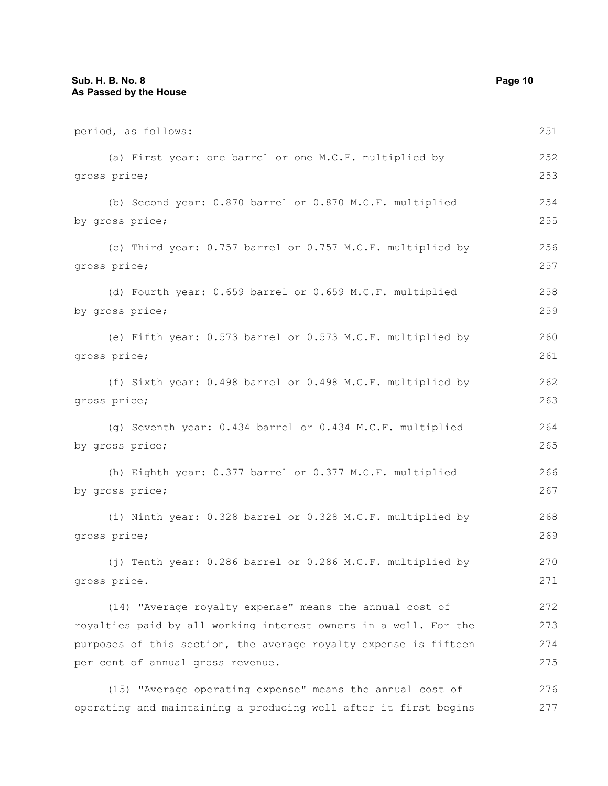| period, as follows:                                              | 251 |
|------------------------------------------------------------------|-----|
| (a) First year: one barrel or one M.C.F. multiplied by           | 252 |
| gross price;                                                     | 253 |
| (b) Second year: 0.870 barrel or 0.870 M.C.F. multiplied         | 254 |
| by gross price;                                                  | 255 |
| (c) Third year: 0.757 barrel or 0.757 M.C.F. multiplied by       | 256 |
| gross price;                                                     | 257 |
| (d) Fourth year: 0.659 barrel or 0.659 M.C.F. multiplied         | 258 |
| by gross price;                                                  | 259 |
| (e) Fifth year: 0.573 barrel or 0.573 M.C.F. multiplied by       | 260 |
| gross price;                                                     | 261 |
| (f) Sixth year: 0.498 barrel or 0.498 M.C.F. multiplied by       | 262 |
| gross price;                                                     | 263 |
| (g) Seventh year: 0.434 barrel or 0.434 M.C.F. multiplied        | 264 |
| by gross price;                                                  | 265 |
| (h) Eighth year: 0.377 barrel or 0.377 M.C.F. multiplied         | 266 |
| by gross price;                                                  | 267 |
| (i) Ninth year: 0.328 barrel or 0.328 M.C.F. multiplied by       | 268 |
| gross price;                                                     | 269 |
| (j) Tenth year: 0.286 barrel or 0.286 M.C.F. multiplied by       | 270 |
| gross price.                                                     | 271 |
| (14) "Average royalty expense" means the annual cost of          | 272 |
| royalties paid by all working interest owners in a well. For the | 273 |
| purposes of this section, the average royalty expense is fifteen | 274 |
| per cent of annual gross revenue.                                | 275 |
| (15) "Average operating expense" means the annual cost of        | 276 |

(15) "Average operating expense" means the annual cost of operating and maintaining a producing well after it first begins 277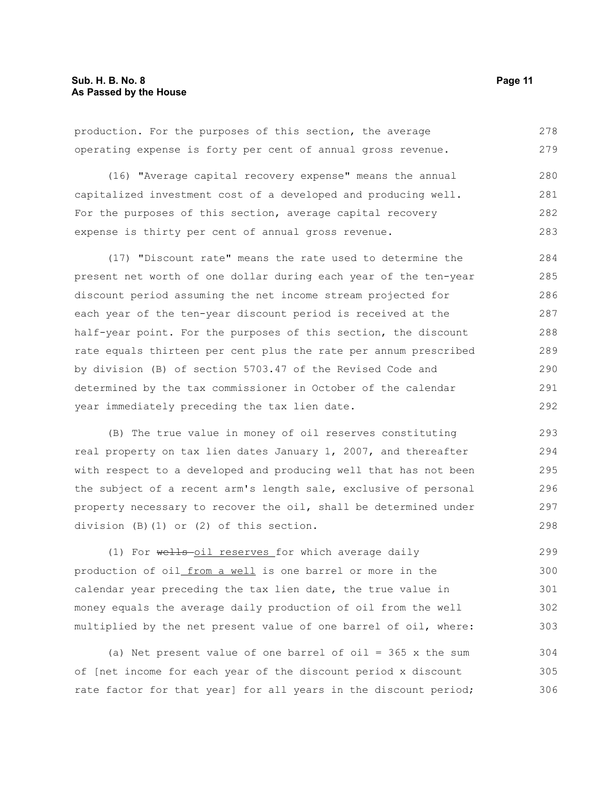production. For the purposes of this section, the average operating expense is forty per cent of annual gross revenue. 278 279

(16) "Average capital recovery expense" means the annual capitalized investment cost of a developed and producing well. For the purposes of this section, average capital recovery expense is thirty per cent of annual gross revenue. 280 281 282 283

(17) "Discount rate" means the rate used to determine the present net worth of one dollar during each year of the ten-year discount period assuming the net income stream projected for each year of the ten-year discount period is received at the half-year point. For the purposes of this section, the discount rate equals thirteen per cent plus the rate per annum prescribed by division (B) of section 5703.47 of the Revised Code and determined by the tax commissioner in October of the calendar year immediately preceding the tax lien date. 284 285 286 287 288 289 290 291 292

(B) The true value in money of oil reserves constituting real property on tax lien dates January 1, 2007, and thereafter with respect to a developed and producing well that has not been the subject of a recent arm's length sale, exclusive of personal property necessary to recover the oil, shall be determined under division (B)(1) or (2) of this section. 293 294 295 296 297 298

(1) For wells-oil reserves for which average daily production of oil from a well is one barrel or more in the calendar year preceding the tax lien date, the true value in money equals the average daily production of oil from the well multiplied by the net present value of one barrel of oil, where: 299 300 301 302 303

(a) Net present value of one barrel of  $\text{oil} = 365 \times \text{the sum}$ of [net income for each year of the discount period x discount rate factor for that year] for all years in the discount period; 304 305 306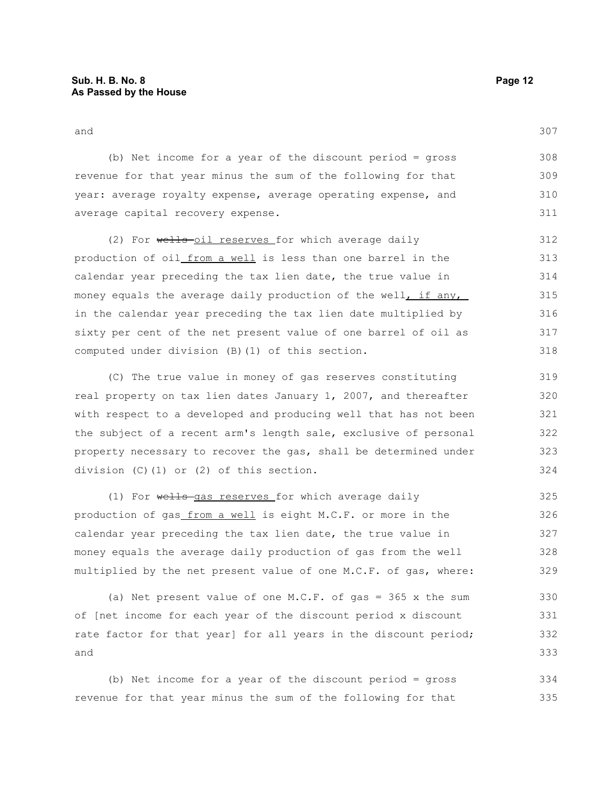307

| $\sim$<br>$\sim$ |  |
|------------------|--|
|------------------|--|

(b) Net income for a year of the discount period = gross revenue for that year minus the sum of the following for that year: average royalty expense, average operating expense, and average capital recovery expense. 308 309 310 311

(2) For wells-oil reserves for which average daily production of oil from a well is less than one barrel in the calendar year preceding the tax lien date, the true value in money equals the average daily production of the well, if any, in the calendar year preceding the tax lien date multiplied by sixty per cent of the net present value of one barrel of oil as computed under division (B)(1) of this section. 312 313 314 315 316 317 318

(C) The true value in money of gas reserves constituting real property on tax lien dates January 1, 2007, and thereafter with respect to a developed and producing well that has not been the subject of a recent arm's length sale, exclusive of personal property necessary to recover the gas, shall be determined under division (C)(1) or (2) of this section. 319 320 321 322 323 324

(1) For wells gas reserves for which average daily production of gas from a well is eight M.C.F. or more in the calendar year preceding the tax lien date, the true value in money equals the average daily production of gas from the well multiplied by the net present value of one M.C.F. of gas, where: 325 326 327 328 329

(a) Net present value of one M.C.F. of gas =  $365$  x the sum of [net income for each year of the discount period x discount rate factor for that year] for all years in the discount period; and 330 331 332 333

(b) Net income for a year of the discount period = gross revenue for that year minus the sum of the following for that 334 335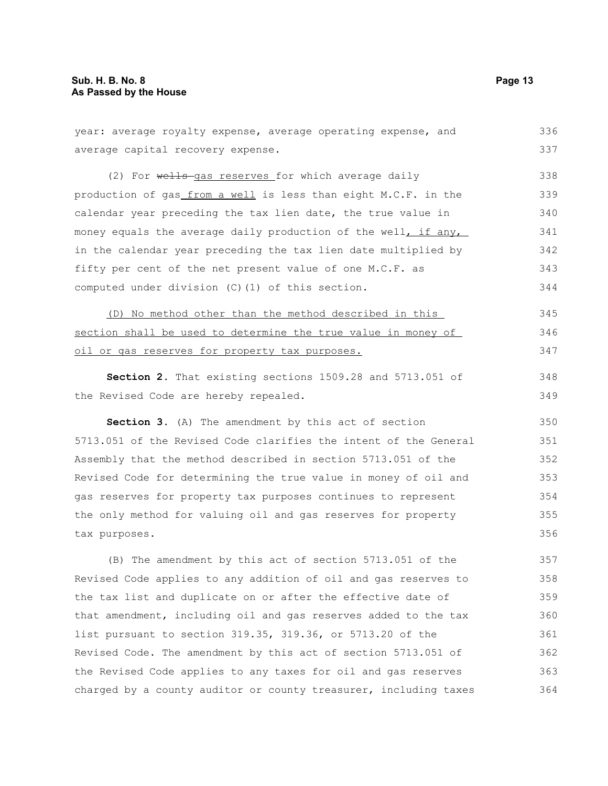| year: average royalty expense, average operating expense, and    | 336 |
|------------------------------------------------------------------|-----|
| average capital recovery expense.                                | 337 |
| (2) For wells gas reserves for which average daily               | 338 |
| production of gas_from a well is less than eight M.C.F. in the   | 339 |
| calendar year preceding the tax lien date, the true value in     | 340 |
| money equals the average daily production of the well, if any,   | 341 |
| in the calendar year preceding the tax lien date multiplied by   | 342 |
| fifty per cent of the net present value of one M.C.F. as         | 343 |
| computed under division (C) (1) of this section.                 | 344 |
| (D) No method other than the method described in this            | 345 |
| section shall be used to determine the true value in money of    | 346 |
| oil or gas reserves for property tax purposes.                   | 347 |
| Section 2. That existing sections 1509.28 and 5713.051 of        | 348 |
| the Revised Code are hereby repealed.                            | 349 |
| Section 3. (A) The amendment by this act of section              | 350 |
| 5713.051 of the Revised Code clarifies the intent of the General | 351 |
| Assembly that the method described in section 5713.051 of the    | 352 |
| Revised Code for determining the true value in money of oil and  | 353 |
| gas reserves for property tax purposes continues to represent    | 354 |
| the only method for valuing oil and gas reserves for property    | 355 |
| tax purposes.                                                    | 356 |
| (B) The amendment by this act of section 5713.051 of the         | 357 |
| Revised Code applies to any addition of oil and gas reserves to  | 358 |
| the tax list and duplicate on or after the effective date of     | 359 |
| that amendment, including oil and gas reserves added to the tax  | 360 |
| list pursuant to section 319.35, 319.36, or 5713.20 of the       | 361 |
| Revised Code. The amendment by this act of section 5713.051 of   | 362 |
| the Revised Code applies to any taxes for oil and gas reserves   | 363 |
| charged by a county auditor or county treasurer, including taxes | 364 |